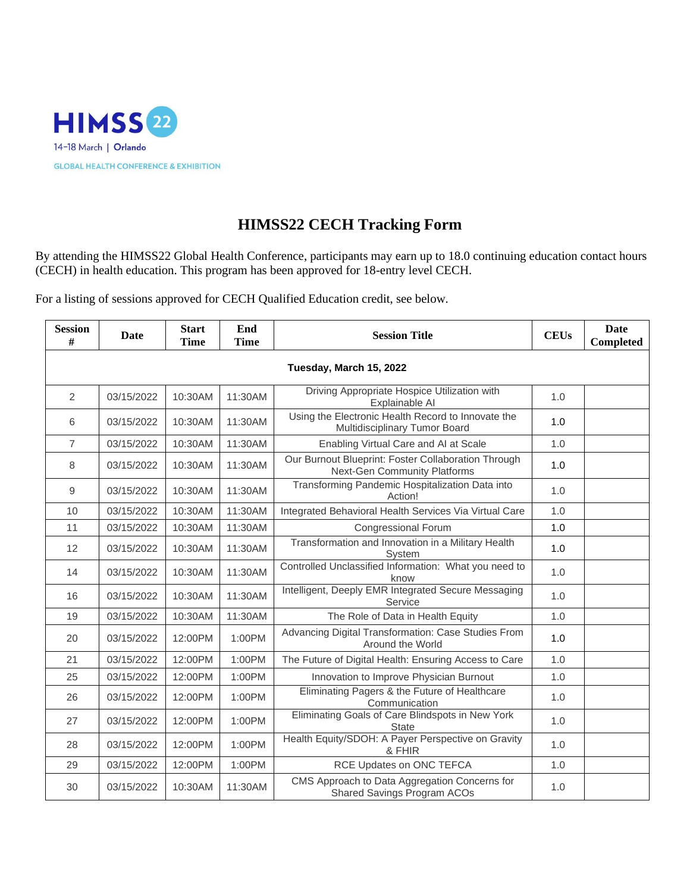

## **HIMSS22 CECH Tracking Form**

By attending the HIMSS22 Global Health Conference, participants may earn up to 18.0 continuing education contact hours (CECH) in health education. This program has been approved for 18-entry level CECH.

For a listing of sessions approved for CECH Qualified Education credit, see below.

| <b>Session</b><br># | Date                    | <b>Start</b><br><b>Time</b> | End<br><b>Time</b> | <b>Session Title</b>                                                                | <b>CEUs</b> | Date<br><b>Completed</b> |  |  |  |
|---------------------|-------------------------|-----------------------------|--------------------|-------------------------------------------------------------------------------------|-------------|--------------------------|--|--|--|
|                     | Tuesday, March 15, 2022 |                             |                    |                                                                                     |             |                          |  |  |  |
| 2                   | 03/15/2022              | 10:30AM                     | 11:30AM            | Driving Appropriate Hospice Utilization with<br>Explainable AI                      | 1.0         |                          |  |  |  |
| 6                   | 03/15/2022              | 10:30AM                     | 11:30AM            | Using the Electronic Health Record to Innovate the<br>Multidisciplinary Tumor Board | 1.0         |                          |  |  |  |
| $\overline{7}$      | 03/15/2022              | 10:30AM                     | 11:30AM            | Enabling Virtual Care and AI at Scale                                               | 1.0         |                          |  |  |  |
| 8                   | 03/15/2022              | 10:30AM                     | 11:30AM            | Our Burnout Blueprint: Foster Collaboration Through<br>Next-Gen Community Platforms | 1.0         |                          |  |  |  |
| 9                   | 03/15/2022              | 10:30AM                     | 11:30AM            | Transforming Pandemic Hospitalization Data into<br>Action!                          | 1.0         |                          |  |  |  |
| 10                  | 03/15/2022              | 10:30AM                     | 11:30AM            | Integrated Behavioral Health Services Via Virtual Care                              | 1.0         |                          |  |  |  |
| 11                  | 03/15/2022              | 10:30AM                     | 11:30AM            | <b>Congressional Forum</b>                                                          | 1.0         |                          |  |  |  |
| 12                  | 03/15/2022              | 10:30AM                     | 11:30AM            | Transformation and Innovation in a Military Health<br>System                        | 1.0         |                          |  |  |  |
| 14                  | 03/15/2022              | 10:30AM                     | 11:30AM            | Controlled Unclassified Information: What you need to<br>know                       | 1.0         |                          |  |  |  |
| 16                  | 03/15/2022              | 10:30AM                     | 11:30AM            | Intelligent, Deeply EMR Integrated Secure Messaging<br>Service                      | 1.0         |                          |  |  |  |
| 19                  | 03/15/2022              | 10:30AM                     | 11:30AM            | The Role of Data in Health Equity                                                   | 1.0         |                          |  |  |  |
| 20                  | 03/15/2022              | 12:00PM                     | 1:00PM             | Advancing Digital Transformation: Case Studies From<br>Around the World             | 1.0         |                          |  |  |  |
| 21                  | 03/15/2022              | 12:00PM                     | 1:00PM             | The Future of Digital Health: Ensuring Access to Care                               | 1.0         |                          |  |  |  |
| 25                  | 03/15/2022              | 12:00PM                     | 1:00PM             | Innovation to Improve Physician Burnout                                             | 1.0         |                          |  |  |  |
| 26                  | 03/15/2022              | 12:00PM                     | 1:00PM             | Eliminating Pagers & the Future of Healthcare<br>Communication                      | 1.0         |                          |  |  |  |
| 27                  | 03/15/2022              | 12:00PM                     | 1:00PM             | Eliminating Goals of Care Blindspots in New York<br><b>State</b>                    | 1.0         |                          |  |  |  |
| 28                  | 03/15/2022              | 12:00PM                     | 1:00PM             | Health Equity/SDOH: A Payer Perspective on Gravity<br>& FHIR                        | 1.0         |                          |  |  |  |
| 29                  | 03/15/2022              | 12:00PM                     | 1:00PM             | RCE Updates on ONC TEFCA                                                            | 1.0         |                          |  |  |  |
| 30                  | 03/15/2022              | 10:30AM                     | 11:30AM            | CMS Approach to Data Aggregation Concerns for<br><b>Shared Savings Program ACOs</b> | 1.0         |                          |  |  |  |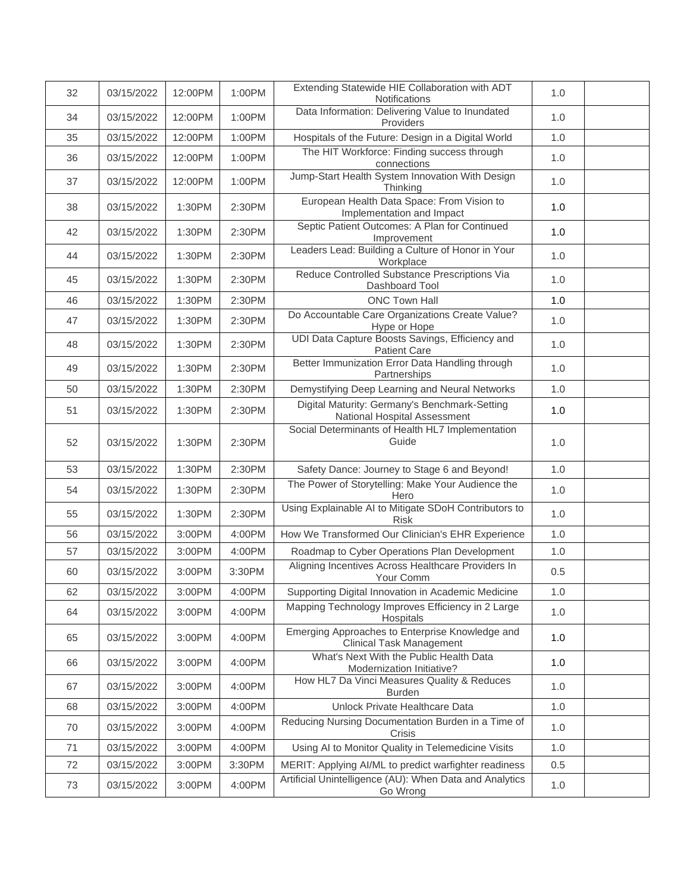| 32 | 03/15/2022 | 12:00PM | 1:00PM | Extending Statewide HIE Collaboration with ADT<br>Notifications                    | 1.0 |  |
|----|------------|---------|--------|------------------------------------------------------------------------------------|-----|--|
| 34 | 03/15/2022 | 12:00PM | 1:00PM | Data Information: Delivering Value to Inundated<br>Providers                       | 1.0 |  |
| 35 | 03/15/2022 | 12:00PM | 1:00PM | Hospitals of the Future: Design in a Digital World                                 | 1.0 |  |
| 36 | 03/15/2022 | 12:00PM | 1:00PM | The HIT Workforce: Finding success through<br>connections                          | 1.0 |  |
| 37 | 03/15/2022 | 12:00PM | 1:00PM | Jump-Start Health System Innovation With Design<br>Thinking                        | 1.0 |  |
| 38 | 03/15/2022 | 1:30PM  | 2:30PM | European Health Data Space: From Vision to<br>Implementation and Impact            | 1.0 |  |
| 42 | 03/15/2022 | 1:30PM  | 2:30PM | Septic Patient Outcomes: A Plan for Continued<br>Improvement                       | 1.0 |  |
| 44 | 03/15/2022 | 1:30PM  | 2:30PM | Leaders Lead: Building a Culture of Honor in Your<br>Workplace                     | 1.0 |  |
| 45 | 03/15/2022 | 1:30PM  | 2:30PM | Reduce Controlled Substance Prescriptions Via<br>Dashboard Tool                    | 1.0 |  |
| 46 | 03/15/2022 | 1:30PM  | 2:30PM | <b>ONC Town Hall</b>                                                               | 1.0 |  |
| 47 | 03/15/2022 | 1:30PM  | 2:30PM | Do Accountable Care Organizations Create Value?<br>Hype or Hope                    | 1.0 |  |
| 48 | 03/15/2022 | 1:30PM  | 2:30PM | UDI Data Capture Boosts Savings, Efficiency and<br><b>Patient Care</b>             | 1.0 |  |
| 49 | 03/15/2022 | 1:30PM  | 2:30PM | Better Immunization Error Data Handling through<br>Partnerships                    | 1.0 |  |
| 50 | 03/15/2022 | 1:30PM  | 2:30PM | Demystifying Deep Learning and Neural Networks                                     | 1.0 |  |
| 51 | 03/15/2022 | 1:30PM  | 2:30PM | Digital Maturity: Germany's Benchmark-Setting<br>National Hospital Assessment      | 1.0 |  |
| 52 | 03/15/2022 | 1:30PM  | 2:30PM | Social Determinants of Health HL7 Implementation<br>Guide                          | 1.0 |  |
| 53 | 03/15/2022 | 1:30PM  | 2:30PM | Safety Dance: Journey to Stage 6 and Beyond!                                       | 1.0 |  |
| 54 | 03/15/2022 | 1:30PM  | 2:30PM | The Power of Storytelling: Make Your Audience the<br>Hero                          | 1.0 |  |
| 55 | 03/15/2022 | 1:30PM  | 2:30PM | Using Explainable AI to Mitigate SDoH Contributors to<br><b>Risk</b>               | 1.0 |  |
| 56 | 03/15/2022 | 3:00PM  | 4:00PM | How We Transformed Our Clinician's EHR Experience                                  | 1.0 |  |
| 57 | 03/15/2022 | 3:00PM  | 4:00PM | Roadmap to Cyber Operations Plan Development                                       | 1.0 |  |
| 60 | 03/15/2022 | 3:00PM  | 3:30PM | Aligning Incentives Across Healthcare Providers In<br>Your Comm                    | 0.5 |  |
| 62 | 03/15/2022 | 3:00PM  | 4:00PM | Supporting Digital Innovation in Academic Medicine                                 | 1.0 |  |
| 64 | 03/15/2022 | 3:00PM  | 4:00PM | Mapping Technology Improves Efficiency in 2 Large<br>Hospitals                     | 1.0 |  |
| 65 | 03/15/2022 | 3:00PM  | 4:00PM | Emerging Approaches to Enterprise Knowledge and<br><b>Clinical Task Management</b> | 1.0 |  |
| 66 | 03/15/2022 | 3:00PM  | 4:00PM | What's Next With the Public Health Data<br>Modernization Initiative?               | 1.0 |  |
| 67 | 03/15/2022 | 3:00PM  | 4:00PM | How HL7 Da Vinci Measures Quality & Reduces<br><b>Burden</b>                       | 1.0 |  |
| 68 | 03/15/2022 | 3:00PM  | 4:00PM | Unlock Private Healthcare Data                                                     | 1.0 |  |
| 70 | 03/15/2022 | 3:00PM  | 4:00PM | Reducing Nursing Documentation Burden in a Time of<br>Crisis                       | 1.0 |  |
| 71 | 03/15/2022 | 3:00PM  | 4:00PM | Using AI to Monitor Quality in Telemedicine Visits                                 | 1.0 |  |
| 72 | 03/15/2022 | 3:00PM  | 3:30PM | MERIT: Applying AI/ML to predict warfighter readiness                              | 0.5 |  |
| 73 | 03/15/2022 | 3:00PM  | 4:00PM | Artificial Unintelligence (AU): When Data and Analytics<br>Go Wrong                | 1.0 |  |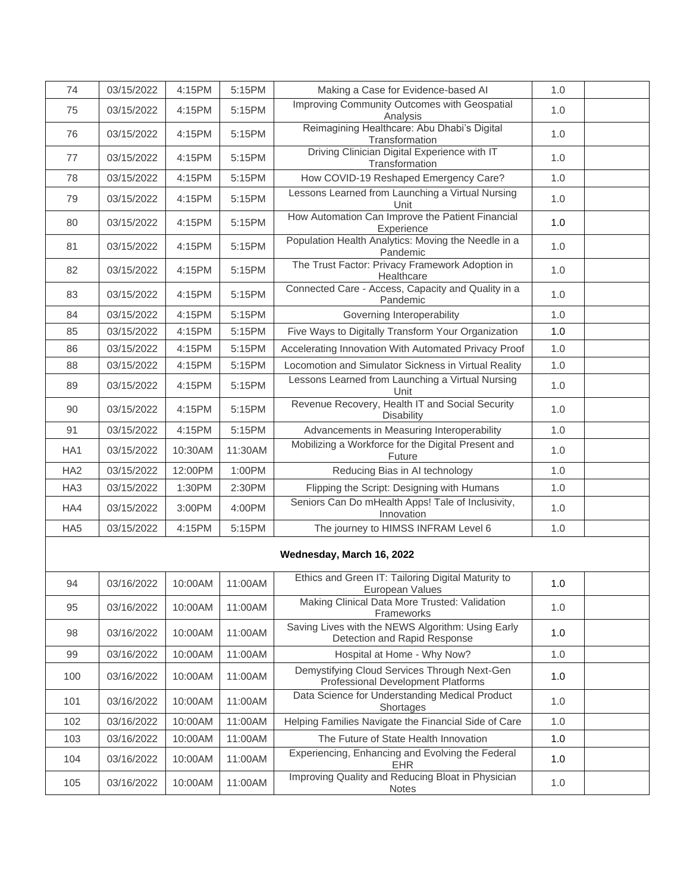| 74              | 03/15/2022 | 4:15PM  | 5:15PM  | Making a Case for Evidence-based AI                                                | 1.0 |  |
|-----------------|------------|---------|---------|------------------------------------------------------------------------------------|-----|--|
| 75              | 03/15/2022 | 4:15PM  | 5:15PM  | Improving Community Outcomes with Geospatial<br>Analysis                           | 1.0 |  |
| 76              | 03/15/2022 | 4:15PM  | 5:15PM  | Reimagining Healthcare: Abu Dhabi's Digital<br>Transformation                      | 1.0 |  |
| 77              | 03/15/2022 | 4:15PM  | 5:15PM  | Driving Clinician Digital Experience with IT<br>Transformation                     | 1.0 |  |
| 78              | 03/15/2022 | 4:15PM  | 5:15PM  | How COVID-19 Reshaped Emergency Care?                                              | 1.0 |  |
| 79              | 03/15/2022 | 4:15PM  | 5:15PM  | Lessons Learned from Launching a Virtual Nursing<br>Unit                           | 1.0 |  |
| 80              | 03/15/2022 | 4:15PM  | 5:15PM  | How Automation Can Improve the Patient Financial<br>Experience                     | 1.0 |  |
| 81              | 03/15/2022 | 4:15PM  | 5:15PM  | Population Health Analytics: Moving the Needle in a<br>Pandemic                    | 1.0 |  |
| 82              | 03/15/2022 | 4:15PM  | 5:15PM  | The Trust Factor: Privacy Framework Adoption in<br>Healthcare                      | 1.0 |  |
| 83              | 03/15/2022 | 4:15PM  | 5:15PM  | Connected Care - Access, Capacity and Quality in a<br>Pandemic                     | 1.0 |  |
| 84              | 03/15/2022 | 4:15PM  | 5:15PM  | Governing Interoperability                                                         | 1.0 |  |
| 85              | 03/15/2022 | 4:15PM  | 5:15PM  | Five Ways to Digitally Transform Your Organization                                 | 1.0 |  |
| 86              | 03/15/2022 | 4:15PM  | 5:15PM  | Accelerating Innovation With Automated Privacy Proof                               | 1.0 |  |
| 88              | 03/15/2022 | 4:15PM  | 5:15PM  | Locomotion and Simulator Sickness in Virtual Reality                               | 1.0 |  |
| 89              | 03/15/2022 | 4:15PM  | 5:15PM  | Lessons Learned from Launching a Virtual Nursing<br>Unit                           | 1.0 |  |
| 90              | 03/15/2022 | 4:15PM  | 5:15PM  | Revenue Recovery, Health IT and Social Security<br><b>Disability</b>               | 1.0 |  |
| 91              | 03/15/2022 | 4:15PM  | 5:15PM  | Advancements in Measuring Interoperability                                         | 1.0 |  |
| HA1             | 03/15/2022 | 10:30AM | 11:30AM | Mobilizing a Workforce for the Digital Present and<br>Future                       | 1.0 |  |
| HA <sub>2</sub> | 03/15/2022 | 12:00PM | 1:00PM  | Reducing Bias in AI technology                                                     | 1.0 |  |
| HA <sub>3</sub> | 03/15/2022 | 1:30PM  | 2:30PM  | Flipping the Script: Designing with Humans                                         | 1.0 |  |
| HA4             | 03/15/2022 | 3:00PM  | 4:00PM  | Seniors Can Do mHealth Apps! Tale of Inclusivity,<br>Innovation                    | 1.0 |  |
| HA <sub>5</sub> | 03/15/2022 | 4:15PM  | 5:15PM  | The journey to HIMSS INFRAM Level 6                                                | 1.0 |  |
|                 |            |         |         | Wednesday, March 16, 2022                                                          |     |  |
| 94              | 03/16/2022 | 10:00AM | 11:00AM | Ethics and Green IT: Tailoring Digital Maturity to<br>European Values              | 1.0 |  |
| 95              | 03/16/2022 | 10:00AM | 11:00AM | Making Clinical Data More Trusted: Validation<br>Frameworks                        | 1.0 |  |
| 98              | 03/16/2022 | 10:00AM | 11:00AM | Saving Lives with the NEWS Algorithm: Using Early<br>Detection and Rapid Response  | 1.0 |  |
| 99              | 03/16/2022 | 10:00AM | 11:00AM | Hospital at Home - Why Now?                                                        | 1.0 |  |
| 100             | 03/16/2022 | 10:00AM | 11:00AM | Demystifying Cloud Services Through Next-Gen<br>Professional Development Platforms | 1.0 |  |
| 101             | 03/16/2022 | 10:00AM | 11:00AM | Data Science for Understanding Medical Product<br>Shortages                        | 1.0 |  |
| 102             | 03/16/2022 | 10:00AM | 11:00AM | Helping Families Navigate the Financial Side of Care                               | 1.0 |  |
| 103             | 03/16/2022 | 10:00AM | 11:00AM | The Future of State Health Innovation                                              | 1.0 |  |
| 104             | 03/16/2022 | 10:00AM | 11:00AM | Experiencing, Enhancing and Evolving the Federal<br><b>EHR</b>                     | 1.0 |  |
| 105             | 03/16/2022 | 10:00AM | 11:00AM | Improving Quality and Reducing Bloat in Physician<br><b>Notes</b>                  | 1.0 |  |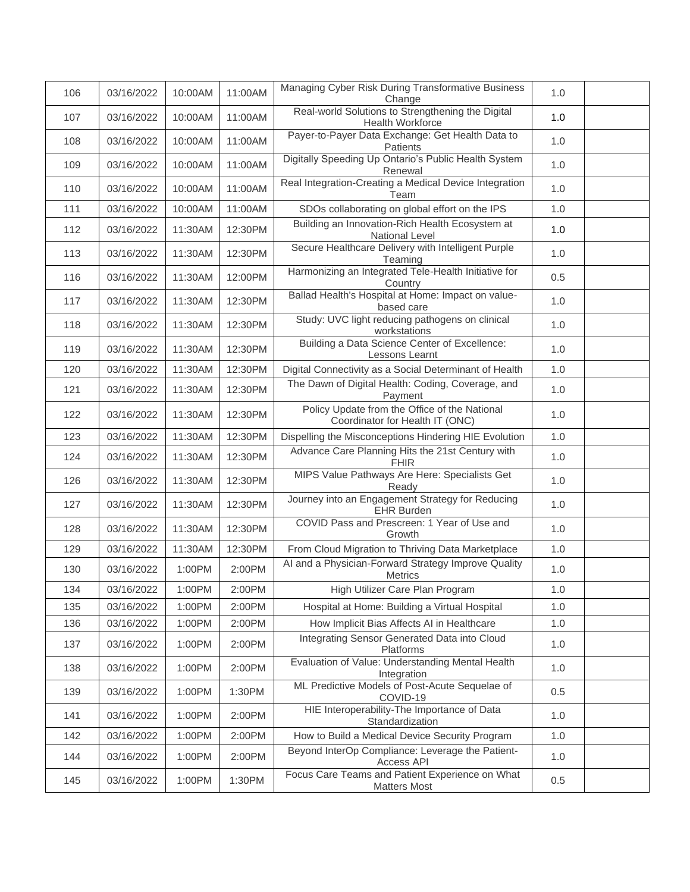| 106 | 03/16/2022 | 10:00AM | 11:00AM | Managing Cyber Risk During Transformative Business<br>Change                     | 1.0 |  |
|-----|------------|---------|---------|----------------------------------------------------------------------------------|-----|--|
| 107 | 03/16/2022 | 10:00AM | 11:00AM | Real-world Solutions to Strengthening the Digital<br>Health Workforce            | 1.0 |  |
| 108 | 03/16/2022 | 10:00AM | 11:00AM | Payer-to-Payer Data Exchange: Get Health Data to<br>Patients                     | 1.0 |  |
| 109 | 03/16/2022 | 10:00AM | 11:00AM | Digitally Speeding Up Ontario's Public Health System<br>Renewal                  | 1.0 |  |
| 110 | 03/16/2022 | 10:00AM | 11:00AM | Real Integration-Creating a Medical Device Integration<br>Team                   | 1.0 |  |
| 111 | 03/16/2022 | 10:00AM | 11:00AM | SDOs collaborating on global effort on the IPS                                   | 1.0 |  |
| 112 | 03/16/2022 | 11:30AM | 12:30PM | Building an Innovation-Rich Health Ecosystem at<br>National Level                | 1.0 |  |
| 113 | 03/16/2022 | 11:30AM | 12:30PM | Secure Healthcare Delivery with Intelligent Purple<br>Teaming                    | 1.0 |  |
| 116 | 03/16/2022 | 11:30AM | 12:00PM | Harmonizing an Integrated Tele-Health Initiative for<br>Country                  | 0.5 |  |
| 117 | 03/16/2022 | 11:30AM | 12:30PM | Ballad Health's Hospital at Home: Impact on value-<br>based care                 | 1.0 |  |
| 118 | 03/16/2022 | 11:30AM | 12:30PM | Study: UVC light reducing pathogens on clinical<br>workstations                  | 1.0 |  |
| 119 | 03/16/2022 | 11:30AM | 12:30PM | Building a Data Science Center of Excellence:<br>Lessons Learnt                  | 1.0 |  |
| 120 | 03/16/2022 | 11:30AM | 12:30PM | Digital Connectivity as a Social Determinant of Health                           | 1.0 |  |
| 121 | 03/16/2022 | 11:30AM | 12:30PM | The Dawn of Digital Health: Coding, Coverage, and<br>Payment                     | 1.0 |  |
| 122 | 03/16/2022 | 11:30AM | 12:30PM | Policy Update from the Office of the National<br>Coordinator for Health IT (ONC) | 1.0 |  |
| 123 | 03/16/2022 | 11:30AM | 12:30PM | Dispelling the Misconceptions Hindering HIE Evolution                            | 1.0 |  |
| 124 | 03/16/2022 | 11:30AM | 12:30PM | Advance Care Planning Hits the 21st Century with<br><b>FHIR</b>                  | 1.0 |  |
| 126 | 03/16/2022 | 11:30AM | 12:30PM | MIPS Value Pathways Are Here: Specialists Get<br>Ready                           | 1.0 |  |
| 127 | 03/16/2022 | 11:30AM | 12:30PM | Journey into an Engagement Strategy for Reducing<br><b>EHR Burden</b>            | 1.0 |  |
| 128 | 03/16/2022 | 11:30AM | 12:30PM | COVID Pass and Prescreen: 1 Year of Use and<br>Growth                            | 1.0 |  |
| 129 | 03/16/2022 | 11:30AM | 12:30PM | From Cloud Migration to Thriving Data Marketplace                                | 1.0 |  |
| 130 | 03/16/2022 | 1:00PM  | 2:00PM  | Al and a Physician-Forward Strategy Improve Quality<br>Metrics                   | 1.0 |  |
| 134 | 03/16/2022 | 1:00PM  | 2:00PM  | High Utilizer Care Plan Program                                                  | 1.0 |  |
| 135 | 03/16/2022 | 1:00PM  | 2:00PM  | Hospital at Home: Building a Virtual Hospital                                    | 1.0 |  |
| 136 | 03/16/2022 | 1:00PM  | 2:00PM  | How Implicit Bias Affects AI in Healthcare                                       | 1.0 |  |
| 137 | 03/16/2022 | 1:00PM  | 2:00PM  | Integrating Sensor Generated Data into Cloud<br>Platforms                        | 1.0 |  |
| 138 | 03/16/2022 | 1:00PM  | 2:00PM  | Evaluation of Value: Understanding Mental Health<br>Integration                  | 1.0 |  |
| 139 | 03/16/2022 | 1:00PM  | 1:30PM  | ML Predictive Models of Post-Acute Sequelae of<br>COVID-19                       | 0.5 |  |
| 141 | 03/16/2022 | 1:00PM  | 2:00PM  | HIE Interoperability-The Importance of Data<br>Standardization                   | 1.0 |  |
| 142 | 03/16/2022 | 1:00PM  | 2:00PM  | How to Build a Medical Device Security Program                                   | 1.0 |  |
| 144 | 03/16/2022 | 1:00PM  | 2:00PM  | Beyond InterOp Compliance: Leverage the Patient-<br>Access API                   | 1.0 |  |
| 145 | 03/16/2022 | 1:00PM  | 1:30PM  | Focus Care Teams and Patient Experience on What<br><b>Matters Most</b>           | 0.5 |  |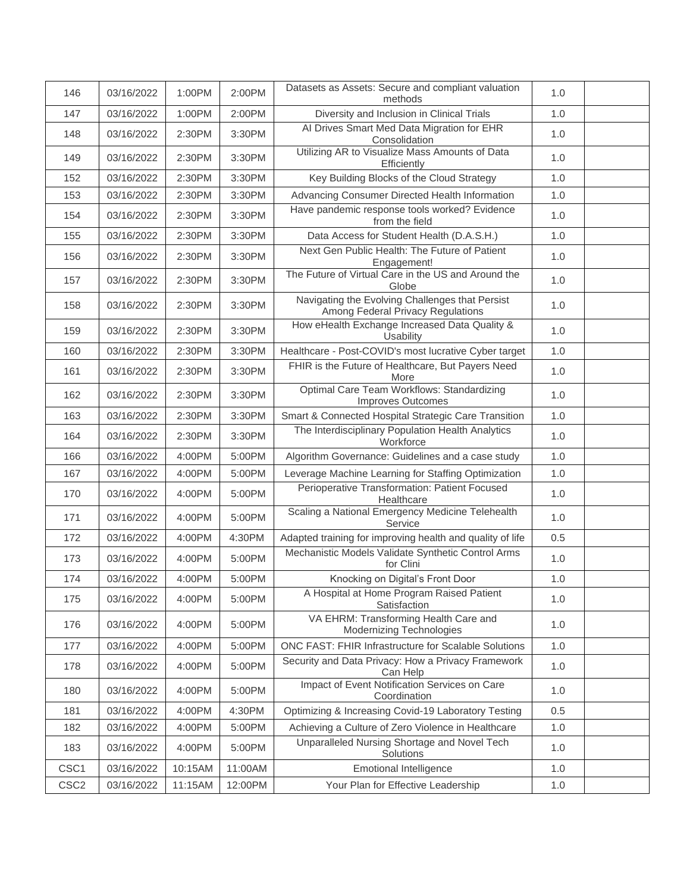| 146              | 03/16/2022 | 1:00PM  | 2:00PM  | Datasets as Assets: Secure and compliant valuation<br>methods                        | 1.0 |  |
|------------------|------------|---------|---------|--------------------------------------------------------------------------------------|-----|--|
| 147              | 03/16/2022 | 1:00PM  | 2:00PM  | Diversity and Inclusion in Clinical Trials                                           | 1.0 |  |
| 148              | 03/16/2022 | 2:30PM  | 3:30PM  | Al Drives Smart Med Data Migration for EHR<br>Consolidation                          | 1.0 |  |
| 149              | 03/16/2022 | 2:30PM  | 3:30PM  | Utilizing AR to Visualize Mass Amounts of Data<br>Efficiently                        | 1.0 |  |
| 152              | 03/16/2022 | 2:30PM  | 3:30PM  | Key Building Blocks of the Cloud Strategy                                            | 1.0 |  |
| 153              | 03/16/2022 | 2:30PM  | 3:30PM  | Advancing Consumer Directed Health Information                                       | 1.0 |  |
| 154              | 03/16/2022 | 2:30PM  | 3:30PM  | Have pandemic response tools worked? Evidence<br>from the field                      | 1.0 |  |
| 155              | 03/16/2022 | 2:30PM  | 3:30PM  | Data Access for Student Health (D.A.S.H.)                                            | 1.0 |  |
| 156              | 03/16/2022 | 2:30PM  | 3:30PM  | Next Gen Public Health: The Future of Patient<br>Engagement!                         | 1.0 |  |
| 157              | 03/16/2022 | 2:30PM  | 3:30PM  | The Future of Virtual Care in the US and Around the<br>Globe                         | 1.0 |  |
| 158              | 03/16/2022 | 2:30PM  | 3:30PM  | Navigating the Evolving Challenges that Persist<br>Among Federal Privacy Regulations | 1.0 |  |
| 159              | 03/16/2022 | 2:30PM  | 3:30PM  | How eHealth Exchange Increased Data Quality &<br>Usability                           | 1.0 |  |
| 160              | 03/16/2022 | 2:30PM  | 3:30PM  | Healthcare - Post-COVID's most lucrative Cyber target                                | 1.0 |  |
| 161              | 03/16/2022 | 2:30PM  | 3:30PM  | FHIR is the Future of Healthcare, But Payers Need<br>More                            | 1.0 |  |
| 162              | 03/16/2022 | 2:30PM  | 3:30PM  | Optimal Care Team Workflows: Standardizing<br><b>Improves Outcomes</b>               | 1.0 |  |
| 163              | 03/16/2022 | 2:30PM  | 3:30PM  | Smart & Connected Hospital Strategic Care Transition                                 | 1.0 |  |
| 164              | 03/16/2022 | 2:30PM  | 3:30PM  | The Interdisciplinary Population Health Analytics<br>Workforce                       | 1.0 |  |
| 166              | 03/16/2022 | 4:00PM  | 5:00PM  | Algorithm Governance: Guidelines and a case study                                    | 1.0 |  |
| 167              | 03/16/2022 | 4:00PM  | 5:00PM  | Leverage Machine Learning for Staffing Optimization                                  | 1.0 |  |
| 170              | 03/16/2022 | 4:00PM  | 5:00PM  | Perioperative Transformation: Patient Focused<br>Healthcare                          | 1.0 |  |
| 171              | 03/16/2022 | 4:00PM  | 5:00PM  | Scaling a National Emergency Medicine Telehealth<br>Service                          | 1.0 |  |
| 172              | 03/16/2022 | 4:00PM  | 4:30PM  | Adapted training for improving health and quality of life                            | 0.5 |  |
| 173              | 03/16/2022 | 4:00PM  | 5:00PM  | Mechanistic Models Validate Synthetic Control Arms<br>for Clini                      | 1.0 |  |
| 174              | 03/16/2022 | 4:00PM  | 5:00PM  | Knocking on Digital's Front Door                                                     | 1.0 |  |
| 175              | 03/16/2022 | 4:00PM  | 5:00PM  | A Hospital at Home Program Raised Patient<br>Satisfaction                            | 1.0 |  |
| 176              | 03/16/2022 | 4:00PM  | 5:00PM  | VA EHRM: Transforming Health Care and<br><b>Modernizing Technologies</b>             | 1.0 |  |
| 177              | 03/16/2022 | 4:00PM  | 5:00PM  | ONC FAST: FHIR Infrastructure for Scalable Solutions                                 | 1.0 |  |
| 178              | 03/16/2022 | 4:00PM  | 5:00PM  | Security and Data Privacy: How a Privacy Framework<br>Can Help                       | 1.0 |  |
| 180              | 03/16/2022 | 4:00PM  | 5:00PM  | Impact of Event Notification Services on Care<br>Coordination                        | 1.0 |  |
| 181              | 03/16/2022 | 4:00PM  | 4:30PM  | Optimizing & Increasing Covid-19 Laboratory Testing                                  | 0.5 |  |
| 182              | 03/16/2022 | 4:00PM  | 5:00PM  | Achieving a Culture of Zero Violence in Healthcare                                   | 1.0 |  |
| 183              | 03/16/2022 | 4:00PM  | 5:00PM  | Unparalleled Nursing Shortage and Novel Tech<br>Solutions                            | 1.0 |  |
| CSC <sub>1</sub> | 03/16/2022 | 10:15AM | 11:00AM | <b>Emotional Intelligence</b>                                                        | 1.0 |  |
| CSC <sub>2</sub> | 03/16/2022 | 11:15AM | 12:00PM | Your Plan for Effective Leadership                                                   | 1.0 |  |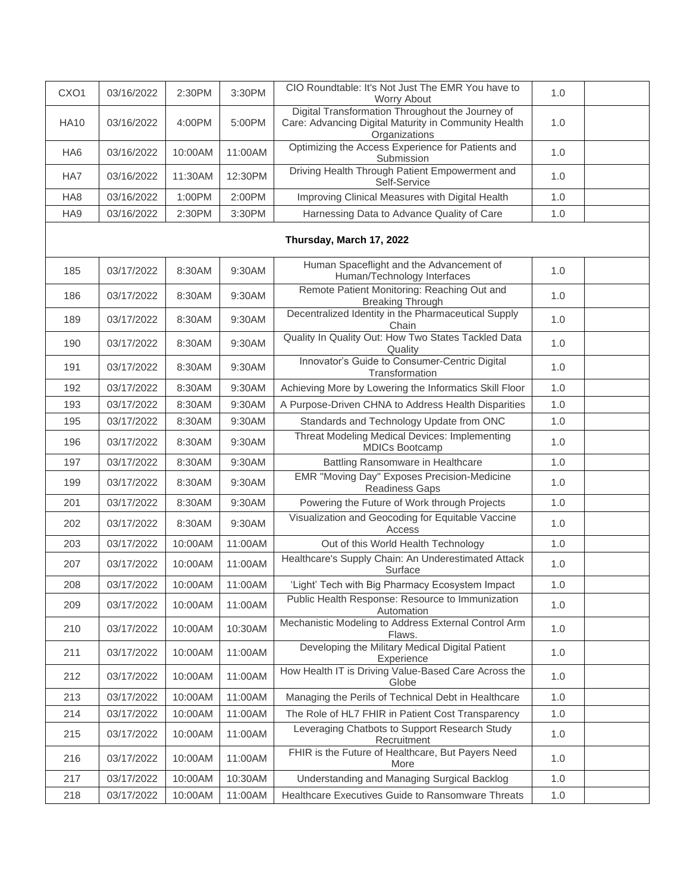| CXO <sub>1</sub> | 03/16/2022 | 2:30PM  | 3:30PM  | CIO Roundtable: It's Not Just The EMR You have to<br>Worry About                                                          | 1.0 |  |
|------------------|------------|---------|---------|---------------------------------------------------------------------------------------------------------------------------|-----|--|
| <b>HA10</b>      | 03/16/2022 | 4:00PM  | 5:00PM  | Digital Transformation Throughout the Journey of<br>Care: Advancing Digital Maturity in Community Health<br>Organizations | 1.0 |  |
| HA <sub>6</sub>  | 03/16/2022 | 10:00AM | 11:00AM | Optimizing the Access Experience for Patients and<br>Submission                                                           | 1.0 |  |
| HA7              | 03/16/2022 | 11:30AM | 12:30PM | Driving Health Through Patient Empowerment and<br>Self-Service                                                            | 1.0 |  |
| HA <sub>8</sub>  | 03/16/2022 | 1:00PM  | 2:00PM  | Improving Clinical Measures with Digital Health                                                                           | 1.0 |  |
| HA9              | 03/16/2022 | 2:30PM  | 3:30PM  | Harnessing Data to Advance Quality of Care                                                                                | 1.0 |  |
|                  |            |         |         |                                                                                                                           |     |  |
| 185              | 03/17/2022 | 8:30AM  | 9:30AM  | Human Spaceflight and the Advancement of<br>Human/Technology Interfaces                                                   | 1.0 |  |
| 186              | 03/17/2022 | 8:30AM  | 9:30AM  | Remote Patient Monitoring: Reaching Out and<br><b>Breaking Through</b>                                                    | 1.0 |  |
| 189              | 03/17/2022 | 8:30AM  | 9:30AM  | Decentralized Identity in the Pharmaceutical Supply<br>Chain                                                              | 1.0 |  |
| 190              | 03/17/2022 | 8:30AM  | 9:30AM  | Quality In Quality Out: How Two States Tackled Data<br>Quality                                                            | 1.0 |  |
| 191              | 03/17/2022 | 8:30AM  | 9:30AM  | Innovator's Guide to Consumer-Centric Digital<br>Transformation                                                           | 1.0 |  |
| 192              | 03/17/2022 | 8:30AM  | 9:30AM  | Achieving More by Lowering the Informatics Skill Floor                                                                    | 1.0 |  |
| 193              | 03/17/2022 | 8:30AM  | 9:30AM  | A Purpose-Driven CHNA to Address Health Disparities                                                                       | 1.0 |  |
| 195              | 03/17/2022 | 8:30AM  | 9:30AM  | Standards and Technology Update from ONC                                                                                  | 1.0 |  |
| 196              | 03/17/2022 | 8:30AM  | 9:30AM  | Threat Modeling Medical Devices: Implementing<br><b>MDICs Bootcamp</b>                                                    | 1.0 |  |
| 197              | 03/17/2022 | 8:30AM  | 9:30AM  | Battling Ransomware in Healthcare                                                                                         | 1.0 |  |
| 199              | 03/17/2022 | 8:30AM  | 9:30AM  | EMR "Moving Day" Exposes Precision-Medicine<br><b>Readiness Gaps</b>                                                      | 1.0 |  |
| 201              | 03/17/2022 | 8:30AM  | 9:30AM  | Powering the Future of Work through Projects                                                                              | 1.0 |  |
| 202              | 03/17/2022 | 8:30AM  | 9:30AM  | Visualization and Geocoding for Equitable Vaccine<br>Access                                                               | 1.0 |  |
| 203              | 03/17/2022 | 10:00AM | 11:00AM | Out of this World Health Technology                                                                                       | 1.0 |  |
| 207              | 03/17/2022 | 10:00AM | 11:00AM | Healthcare's Supply Chain: An Underestimated Attack<br>Surface                                                            | 1.0 |  |
| 208              | 03/17/2022 | 10:00AM | 11:00AM | 'Light' Tech with Big Pharmacy Ecosystem Impact                                                                           | 1.0 |  |
| 209              | 03/17/2022 | 10:00AM | 11:00AM | Public Health Response: Resource to Immunization<br>Automation                                                            | 1.0 |  |
| 210              | 03/17/2022 | 10:00AM | 10:30AM | Mechanistic Modeling to Address External Control Arm<br>Flaws.                                                            | 1.0 |  |
| 211              | 03/17/2022 | 10:00AM | 11:00AM | Developing the Military Medical Digital Patient<br>Experience                                                             | 1.0 |  |
| 212              | 03/17/2022 | 10:00AM | 11:00AM | How Health IT is Driving Value-Based Care Across the<br>Globe                                                             | 1.0 |  |
| 213              | 03/17/2022 | 10:00AM | 11:00AM | Managing the Perils of Technical Debt in Healthcare                                                                       | 1.0 |  |
| 214              | 03/17/2022 | 10:00AM | 11:00AM | The Role of HL7 FHIR in Patient Cost Transparency                                                                         | 1.0 |  |
| 215              | 03/17/2022 | 10:00AM | 11:00AM | Leveraging Chatbots to Support Research Study<br>Recruitment                                                              | 1.0 |  |
| 216              | 03/17/2022 | 10:00AM | 11:00AM | FHIR is the Future of Healthcare, But Payers Need<br>More                                                                 | 1.0 |  |
| 217              | 03/17/2022 | 10:00AM | 10:30AM | Understanding and Managing Surgical Backlog                                                                               | 1.0 |  |
| 218              | 03/17/2022 | 10:00AM | 11:00AM | Healthcare Executives Guide to Ransomware Threats                                                                         | 1.0 |  |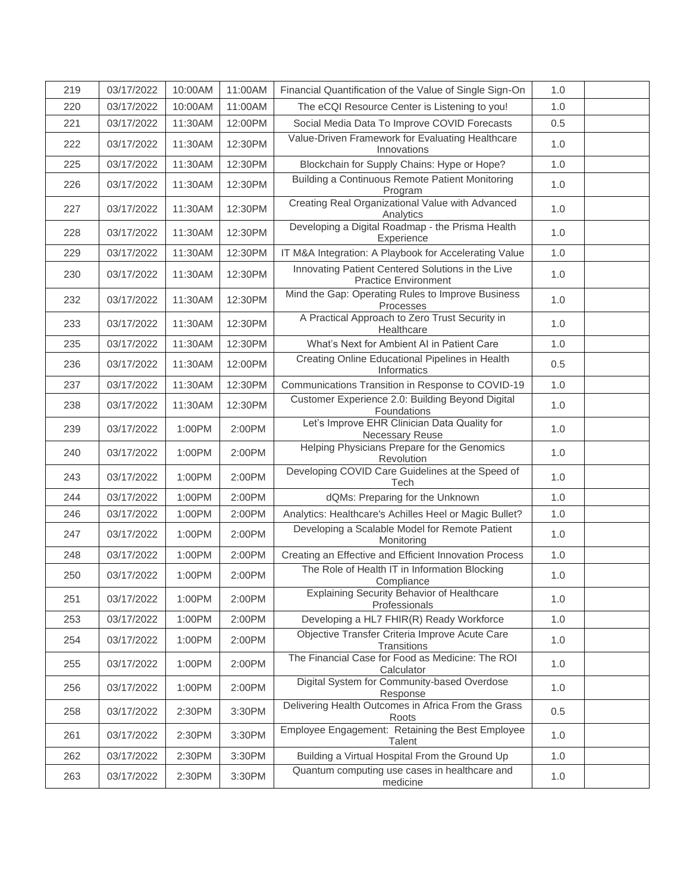| 219 | 03/17/2022 | 10:00AM | 11:00AM | Financial Quantification of the Value of Single Sign-On                          | 1.0   |  |
|-----|------------|---------|---------|----------------------------------------------------------------------------------|-------|--|
| 220 | 03/17/2022 | 10:00AM | 11:00AM | The eCQI Resource Center is Listening to you!                                    | 1.0   |  |
| 221 | 03/17/2022 | 11:30AM | 12:00PM | Social Media Data To Improve COVID Forecasts                                     | 0.5   |  |
| 222 | 03/17/2022 | 11:30AM | 12:30PM | Value-Driven Framework for Evaluating Healthcare<br>Innovations                  | 1.0   |  |
| 225 | 03/17/2022 | 11:30AM | 12:30PM | Blockchain for Supply Chains: Hype or Hope?                                      | 1.0   |  |
| 226 | 03/17/2022 | 11:30AM | 12:30PM | Building a Continuous Remote Patient Monitoring<br>Program                       | 1.0   |  |
| 227 | 03/17/2022 | 11:30AM | 12:30PM | Creating Real Organizational Value with Advanced<br>Analytics                    | 1.0   |  |
| 228 | 03/17/2022 | 11:30AM | 12:30PM | Developing a Digital Roadmap - the Prisma Health<br>Experience                   | 1.0   |  |
| 229 | 03/17/2022 | 11:30AM | 12:30PM | IT M&A Integration: A Playbook for Accelerating Value                            | 1.0   |  |
| 230 | 03/17/2022 | 11:30AM | 12:30PM | Innovating Patient Centered Solutions in the Live<br><b>Practice Environment</b> | 1.0   |  |
| 232 | 03/17/2022 | 11:30AM | 12:30PM | Mind the Gap: Operating Rules to Improve Business<br>Processes                   | 1.0   |  |
| 233 | 03/17/2022 | 11:30AM | 12:30PM | A Practical Approach to Zero Trust Security in<br>Healthcare                     | 1.0   |  |
| 235 | 03/17/2022 | 11:30AM | 12:30PM | What's Next for Ambient AI in Patient Care                                       | 1.0   |  |
| 236 | 03/17/2022 | 11:30AM | 12:00PM | Creating Online Educational Pipelines in Health<br>Informatics                   | 0.5   |  |
| 237 | 03/17/2022 | 11:30AM | 12:30PM | Communications Transition in Response to COVID-19                                | 1.0   |  |
| 238 | 03/17/2022 | 11:30AM | 12:30PM | Customer Experience 2.0: Building Beyond Digital<br>Foundations                  | 1.0   |  |
| 239 | 03/17/2022 | 1:00PM  | 2:00PM  | Let's Improve EHR Clinician Data Quality for<br>Necessary Reuse                  | 1.0   |  |
| 240 | 03/17/2022 | 1:00PM  | 2:00PM  | Helping Physicians Prepare for the Genomics<br>Revolution                        | 1.0   |  |
| 243 | 03/17/2022 | 1:00PM  | 2:00PM  | Developing COVID Care Guidelines at the Speed of<br>Tech                         | 1.0   |  |
| 244 | 03/17/2022 | 1:00PM  | 2:00PM  | dQMs: Preparing for the Unknown                                                  | 1.0   |  |
| 246 | 03/17/2022 | 1:00PM  | 2:00PM  | Analytics: Healthcare's Achilles Heel or Magic Bullet?                           | 1.0   |  |
| 247 | 03/17/2022 | 1:00PM  | 2:00PM  | Developing a Scalable Model for Remote Patient<br>Monitoring                     | 1.0   |  |
| 248 | 03/17/2022 | 1:00PM  | 2:00PM  | Creating an Effective and Efficient Innovation Process                           | 1.0   |  |
| 250 | 03/17/2022 | 1:00PM  | 2:00PM  | The Role of Health IT in Information Blocking<br>Compliance                      | 1.0   |  |
| 251 | 03/17/2022 | 1:00PM  | 2:00PM  | <b>Explaining Security Behavior of Healthcare</b><br>Professionals               | 1.0   |  |
| 253 | 03/17/2022 | 1:00PM  | 2:00PM  | Developing a HL7 FHIR(R) Ready Workforce                                         | 1.0   |  |
| 254 | 03/17/2022 | 1:00PM  | 2:00PM  | Objective Transfer Criteria Improve Acute Care<br>Transitions                    | 1.0   |  |
| 255 | 03/17/2022 | 1:00PM  | 2:00PM  | The Financial Case for Food as Medicine: The ROI<br>Calculator                   | 1.0   |  |
| 256 | 03/17/2022 | 1:00PM  | 2:00PM  | Digital System for Community-based Overdose<br>Response                          | 1.0   |  |
| 258 | 03/17/2022 | 2:30PM  | 3:30PM  | Delivering Health Outcomes in Africa From the Grass<br>Roots                     | 0.5   |  |
| 261 | 03/17/2022 | 2:30PM  | 3:30PM  | Employee Engagement: Retaining the Best Employee<br>Talent                       | 1.0   |  |
| 262 | 03/17/2022 | 2:30PM  | 3:30PM  | Building a Virtual Hospital From the Ground Up                                   | $1.0$ |  |
| 263 | 03/17/2022 | 2:30PM  | 3:30PM  | Quantum computing use cases in healthcare and<br>medicine                        | 1.0   |  |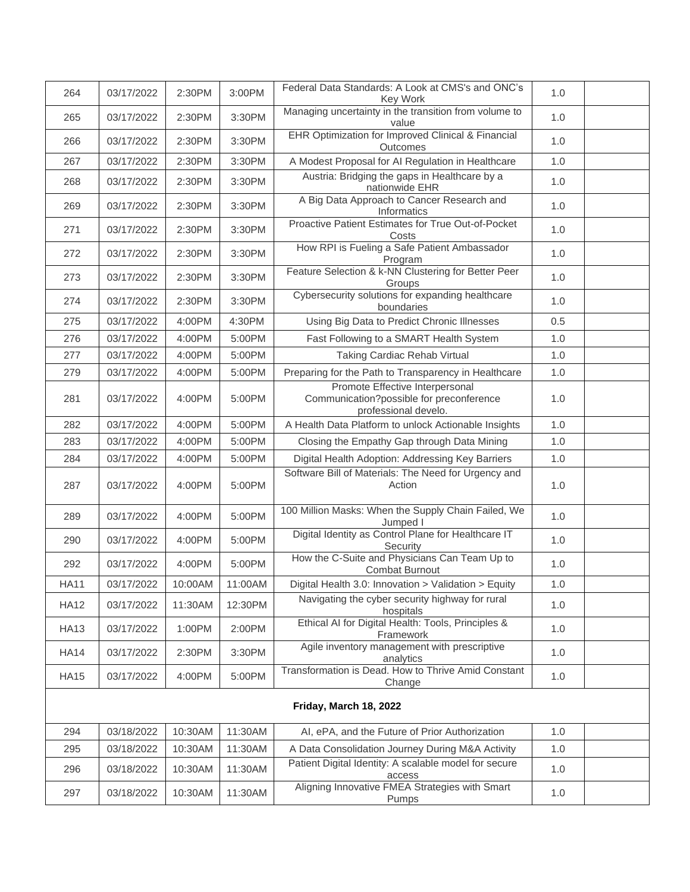| 264         | 03/17/2022 | 2:30PM  | 3:00PM  | Federal Data Standards: A Look at CMS's and ONC's<br>Key Work                                       | 1.0 |  |
|-------------|------------|---------|---------|-----------------------------------------------------------------------------------------------------|-----|--|
| 265         | 03/17/2022 | 2:30PM  | 3:30PM  | Managing uncertainty in the transition from volume to<br>value                                      | 1.0 |  |
| 266         | 03/17/2022 | 2:30PM  | 3:30PM  | EHR Optimization for Improved Clinical & Financial<br>Outcomes                                      | 1.0 |  |
| 267         | 03/17/2022 | 2:30PM  | 3:30PM  | A Modest Proposal for AI Regulation in Healthcare                                                   | 1.0 |  |
| 268         | 03/17/2022 | 2:30PM  | 3:30PM  | Austria: Bridging the gaps in Healthcare by a<br>nationwide EHR                                     | 1.0 |  |
| 269         | 03/17/2022 | 2:30PM  | 3:30PM  | A Big Data Approach to Cancer Research and<br>Informatics                                           | 1.0 |  |
| 271         | 03/17/2022 | 2:30PM  | 3:30PM  | Proactive Patient Estimates for True Out-of-Pocket<br>Costs                                         | 1.0 |  |
| 272         | 03/17/2022 | 2:30PM  | 3:30PM  | How RPI is Fueling a Safe Patient Ambassador<br>Program                                             | 1.0 |  |
| 273         | 03/17/2022 | 2:30PM  | 3:30PM  | Feature Selection & k-NN Clustering for Better Peer<br>Groups                                       | 1.0 |  |
| 274         | 03/17/2022 | 2:30PM  | 3:30PM  | Cybersecurity solutions for expanding healthcare<br>boundaries                                      | 1.0 |  |
| 275         | 03/17/2022 | 4:00PM  | 4:30PM  | Using Big Data to Predict Chronic Illnesses                                                         | 0.5 |  |
| 276         | 03/17/2022 | 4:00PM  | 5:00PM  | Fast Following to a SMART Health System                                                             | 1.0 |  |
| 277         | 03/17/2022 | 4:00PM  | 5:00PM  | <b>Taking Cardiac Rehab Virtual</b>                                                                 | 1.0 |  |
| 279         | 03/17/2022 | 4:00PM  | 5:00PM  | Preparing for the Path to Transparency in Healthcare                                                | 1.0 |  |
| 281         | 03/17/2022 | 4:00PM  | 5:00PM  | Promote Effective Interpersonal<br>Communication?possible for preconference<br>professional develo. | 1.0 |  |
| 282         | 03/17/2022 | 4:00PM  | 5:00PM  | A Health Data Platform to unlock Actionable Insights                                                | 1.0 |  |
| 283         | 03/17/2022 | 4:00PM  | 5:00PM  | Closing the Empathy Gap through Data Mining                                                         | 1.0 |  |
| 284         | 03/17/2022 | 4:00PM  | 5:00PM  | Digital Health Adoption: Addressing Key Barriers                                                    | 1.0 |  |
| 287         | 03/17/2022 | 4:00PM  | 5:00PM  | Software Bill of Materials: The Need for Urgency and<br>Action                                      | 1.0 |  |
| 289         | 03/17/2022 | 4:00PM  | 5:00PM  | 100 Million Masks: When the Supply Chain Failed, We<br>Jumped I                                     | 1.0 |  |
| 290         | 03/17/2022 | 4:00PM  | 5:00PM  | Digital Identity as Control Plane for Healthcare IT<br>Security                                     | 1.0 |  |
| 292         | 03/17/2022 | 4:00PM  | 5:00PM  | How the C-Suite and Physicians Can Team Up to<br><b>Combat Burnout</b>                              | 1.0 |  |
| <b>HA11</b> | 03/17/2022 | 10:00AM | 11:00AM | Digital Health 3.0: Innovation > Validation > Equity                                                | 1.0 |  |
| <b>HA12</b> | 03/17/2022 | 11:30AM | 12:30PM | Navigating the cyber security highway for rural<br>hospitals                                        | 1.0 |  |
| <b>HA13</b> | 03/17/2022 | 1:00PM  | 2:00PM  | Ethical AI for Digital Health: Tools, Principles &<br>Framework                                     | 1.0 |  |
| <b>HA14</b> | 03/17/2022 | 2:30PM  | 3:30PM  | Agile inventory management with prescriptive<br>analytics                                           | 1.0 |  |
| <b>HA15</b> | 03/17/2022 | 4:00PM  | 5:00PM  | Transformation is Dead. How to Thrive Amid Constant<br>Change                                       | 1.0 |  |
|             |            |         |         |                                                                                                     |     |  |
| 294         | 03/18/2022 | 10:30AM | 11:30AM | AI, ePA, and the Future of Prior Authorization                                                      | 1.0 |  |
| 295         | 03/18/2022 | 10:30AM | 11:30AM | A Data Consolidation Journey During M&A Activity                                                    | 1.0 |  |
| 296         | 03/18/2022 | 10:30AM | 11:30AM | Patient Digital Identity: A scalable model for secure<br>access                                     | 1.0 |  |
| 297         | 03/18/2022 | 10:30AM | 11:30AM | Aligning Innovative FMEA Strategies with Smart<br>Pumps                                             | 1.0 |  |